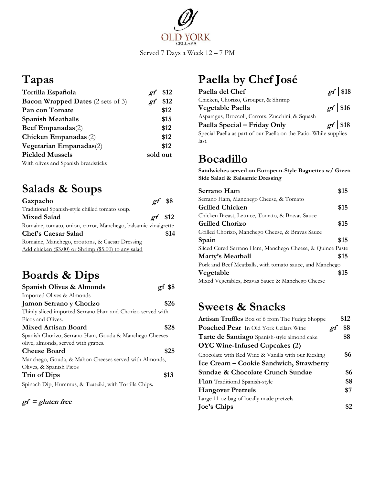

## **Tapas**

| Tortilla Española                        | \$12<br>21 |
|------------------------------------------|------------|
| <b>Bacon Wrapped Dates</b> (2 sets of 3) | \$12<br>ρf |
| Pan con Tomate                           | \$12       |
| <b>Spanish Meatballs</b>                 | \$15       |
| Beef Empanadas(2)                        | \$12       |
| Chicken Empanadas (2)                    | \$12       |
| Vegetarian Empanadas(2)                  | \$12       |
| <b>Pickled Mussels</b>                   | sold out   |
| With olives and Spanish breadsticks      |            |

## **Salads & Soups**

| Gazpacho                                                       | $\varrho f$ \$8  |      |
|----------------------------------------------------------------|------------------|------|
| Traditional Spanish-style chilled tomato soup.                 |                  |      |
| <b>Mixed Salad</b>                                             | $\varrho f$ \$12 |      |
| Romaine, tomato, onion, carrot, Manchego, balsamic vinaigrette |                  |      |
| <b>Chef's Caesar Salad</b>                                     |                  | \$14 |
| Romaine, Manchego, croutons, & Caesar Dressing                 |                  |      |
| Add chicken (\$3.00) or Shrimp (\$5.00) to any salad           |                  |      |

## **Boards & Dips**

| Spanish Olives & Almonds                                   | gf \$8 |
|------------------------------------------------------------|--------|
| Imported Olives & Almonds                                  |        |
| Jamon Serrano y Chorizo                                    | \$26   |
| Thinly sliced imported Serrano Ham and Chorizo served with |        |
| Picos and Olives.                                          |        |
| Mixed Artisan Board                                        | \$28   |
| Spanish Chorizo, Serrano Ham, Gouda & Manchego Cheeses     |        |
| olive, almonds, served with grapes.                        |        |
| <b>Cheese Board</b>                                        | \$25   |
| Manchego, Gouda, & Mahon Cheeses served with Almonds,      |        |
| Olives, & Spanish Picos                                    |        |
| <b>Trio of Dips</b>                                        | \$13   |
| Spinach Dip, Hummus, & Tzatziki, with Tortilla Chips.      |        |

$$
gf = gluten free
$$

# **Paella by Chef José**

| Paella del Chef                                                   | $gr$ \$18 |
|-------------------------------------------------------------------|-----------|
| Chicken, Chorizo, Grouper, & Shrimp                               |           |
| Vegetable Paella                                                  | $gf$ \$16 |
| Asparagus, Broccoli, Carrots, Zucchini, & Squash                  |           |
| Paella Special – Friday Only                                      | $gr$ \$18 |
| Special Paella as part of our Paella on the Patio. While supplies |           |
| last.                                                             |           |

### **Bocadillo**

**Sandwiches served on European-Style Baguettes w/ Green Side Salad & Balsamic Dressing**

| Serrano Ham                                               | \$15 |
|-----------------------------------------------------------|------|
| Serrano Ham, Manchego Cheese, & Tomato                    |      |
| <b>Grilled Chicken</b>                                    | \$15 |
| Chicken Breast, Lettuce, Tomato, & Bravas Sauce           |      |
| <b>Grilled Chorizo</b>                                    | \$15 |
| Grilled Chorizo, Manchego Cheese, & Bravas Sauce          |      |
| Spain                                                     | \$15 |
| Sliced Cured Serrano Ham, Manchego Cheese, & Quince Paste |      |
| Marty's Meatball                                          | \$15 |
| Pork and Beef Meatballs, with tomato sauce, and Manchego  |      |
| Vegetable                                                 | \$15 |
| Mixed Vegetables, Bravas Sauce & Manchego Cheese          |      |

### **Sweets & Snacks**

| <b>Artisan Truffles</b> Box of 6 from The Fudge Shoppe | \$12 |
|--------------------------------------------------------|------|
| <b>Poached Pear</b> In Old York Cellars Wine<br>ρf     | \$8  |
| Tarte de Santiago Spanish-style almond cake            | \$8  |
| OYC Wine-Infused Cupcakes (2)                          |      |
| Chocolate with Red Wine & Vanilla with our Riesling    | \$6  |
| Ice Cream - Cookie Sandwich, Strawberry                |      |
| Sundae & Chocolate Crunch Sundae                       | \$6  |
| <b>Flan</b> Traditional Spanish-style                  | \$8  |
| <b>Hangover Pretzels</b>                               | \$7  |
| Large 11 oz bag of locally made pretzels               |      |
| <b>Joe's Chips</b>                                     |      |